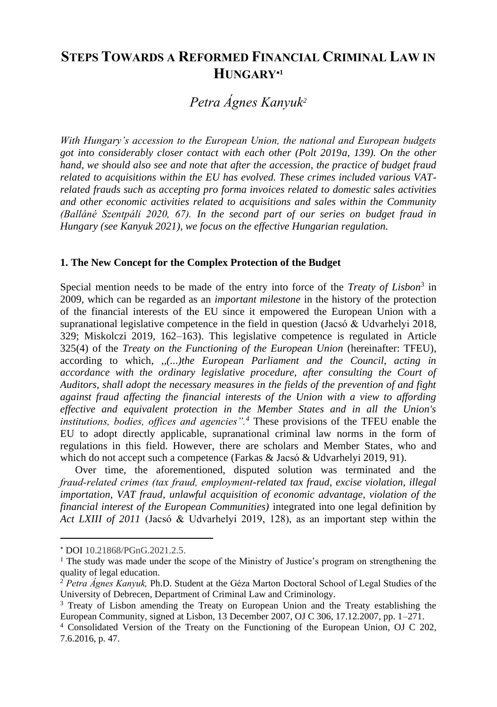# **STEPS TOWARDS A REFORMED FINANCIAL CRIMINAL LAW IN HUNGARY<sup>1</sup>**

# *Petra Ágnes Kanyuk<sup>2</sup>*

*With Hungary's accession to the European Union, the national and European budgets got into considerably closer contact with each other (Polt 2019a, 139). On the other hand, we should also see and note that after the accession, the practice of budget fraud related to acquisitions within the EU has evolved. These crimes included various VATrelated frauds such as accepting pro forma invoices related to domestic sales activities and other economic activities related to acquisitions and sales within the Community (Balláné Szentpáli 2020, 67). In the second part of our series on budget fraud in Hungary (see Kanyuk 2021), we focus on the effective Hungarian regulation.*

#### **1. The New Concept for the Complex Protection of the Budget**

Special mention needs to be made of the entry into force of the *Treaty of Lisbon*<sup>3</sup> in 2009*,* which can be regarded as an *important milestone* in the history of the protection of the financial interests of the EU since it empowered the European Union with a supranational legislative competence in the field in question (Jacsó & Udvarhelyi 2018, 329; Miskolczi 2019, 162–163). This legislative competence is regulated in Article 325(4) of the *Treaty on the Functioning of the European Union* (hereinafter: TFEU), according to which, *,,(...)the European Parliament and the Council, acting in accordance with the ordinary legislative procedure, after consulting the Court of Auditors, shall adopt the necessary measures in the fields of the prevention of and fight against fraud affecting the financial interests of the Union with a view to affording effective and equivalent protection in the Member States and in all the Union's institutions, bodies, offices and agencies".<sup>4</sup>* These provisions of the TFEU enable the EU to adopt directly applicable, supranational criminal law norms in the form of regulations in this field. However, there are scholars and Member States, who and which do not accept such a competence (Farkas & Jacsó & Udvarhelyi 2019, 91).

Over time, the aforementioned, disputed solution was terminated and the *fraud-related crimes (tax fraud, employment-related tax fraud, excise violation, illegal importation, VAT fraud, unlawful acquisition of economic advantage, violation of the financial interest of the European Communities)* integrated into one legal definition by *Act LXIII of 2011* (Jacsó & Udvarhelyi 2019, 128), as an important step within the

DOI 10.21868/PGnG.2021.2.5.

<sup>&</sup>lt;sup>1</sup> The study was made under the scope of the Ministry of Justice's program on strengthening the quality of legal education.

<sup>2</sup> *Petra Ágnes Kanyuk,* Ph.D. Student at the Géza Marton Doctoral School of Legal Studies of the University of Debrecen, Department of Criminal Law and Criminology.

<sup>3</sup> Treaty of Lisbon amending the Treaty on European Union and the Treaty establishing the European Community, signed at Lisbon, 13 December 2007, OJ C 306, 17.12.2007, pp. 1–271.

<sup>4</sup> Consolidated Version of the Treaty on the Functioning of the European Union*,* OJ C 202, 7.6.2016, p. 47.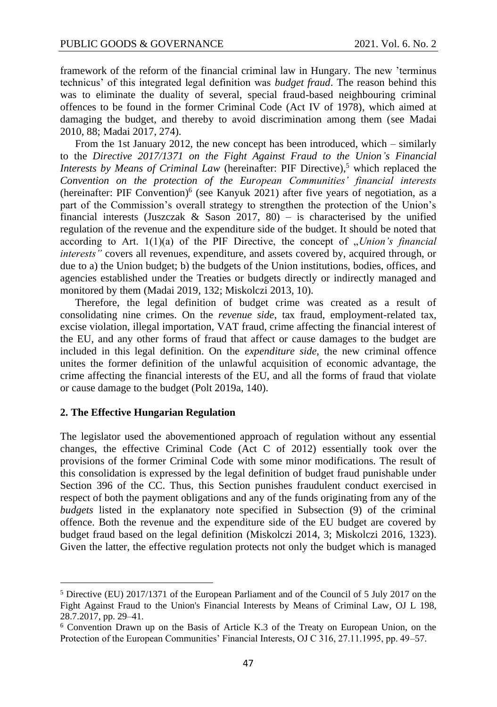framework of the reform of the financial criminal law in Hungary. The new 'terminus technicus' of this integrated legal definition was *budget fraud*. The reason behind this was to eliminate the duality of several, special fraud-based neighbouring criminal offences to be found in the former Criminal Code (Act IV of 1978), which aimed at damaging the budget, and thereby to avoid discrimination among them (see Madai 2010, 88; Madai 2017, 274).

From the 1st January 2012, the new concept has been introduced, which – similarly to the *Directive 2017/1371 on the Fight Against Fraud to the Union's Financial Interests by Means of Criminal Law* (hereinafter: PIF Directive), <sup>5</sup> which replaced the *Convention on the protection of the European Communities' financial interests*  (hereinafter: PIF Convention)<sup>6</sup> (see Kanyuk 2021) after five years of negotiation, as a part of the Commission's overall strategy to strengthen the protection of the Union's financial interests (Juszczak & Sason 2017, 80) – is characterised by the unified regulation of the revenue and the expenditure side of the budget. It should be noted that according to Art.  $1(1)(a)$  of the PIF Directive, the concept of *"Union's financial interests"* covers all revenues, expenditure, and assets covered by, acquired through, or due to a) the Union budget; b) the budgets of the Union institutions, bodies, offices, and agencies established under the Treaties or budgets directly or indirectly managed and monitored by them (Madai 2019, 132; Miskolczi 2013, 10).

Therefore, the legal definition of budget crime was created as a result of consolidating nine crimes. On the *revenue side*, tax fraud, employment-related tax, excise violation, illegal importation, VAT fraud, crime affecting the financial interest of the EU, and any other forms of fraud that affect or cause damages to the budget are included in this legal definition. On the *expenditure side,* the new criminal offence unites the former definition of the unlawful acquisition of economic advantage, the crime affecting the financial interests of the EU, and all the forms of fraud that violate or cause damage to the budget (Polt 2019a, 140).

## **2. The Effective Hungarian Regulation**

The legislator used the abovementioned approach of regulation without any essential changes, the effective Criminal Code (Act C of 2012) essentially took over the provisions of the former Criminal Code with some minor modifications. The result of this consolidation is expressed by the legal definition of budget fraud punishable under Section 396 of the CC. Thus, this Section punishes fraudulent conduct exercised in respect of both the payment obligations and any of the funds originating from any of the *budgets* listed in the explanatory note specified in Subsection (9) of the criminal offence. Both the revenue and the expenditure side of the EU budget are covered by budget fraud based on the legal definition (Miskolczi 2014, 3; Miskolczi 2016, 1323). Given the latter, the effective regulation protects not only the budget which is managed

<sup>5</sup> Directive (EU) 2017/1371 of the European Parliament and of the Council of 5 July 2017 on the Fight Against Fraud to the Union's Financial Interests by Means of Criminal Law*,* OJ L 198, 28.7.2017, pp. 29–41.

<sup>6</sup> Convention Drawn up on the Basis of Article K.3 of the Treaty on European Union, on the Protection of the European Communities' Financial Interests, OJ C 316, 27.11.1995, pp. 49–57.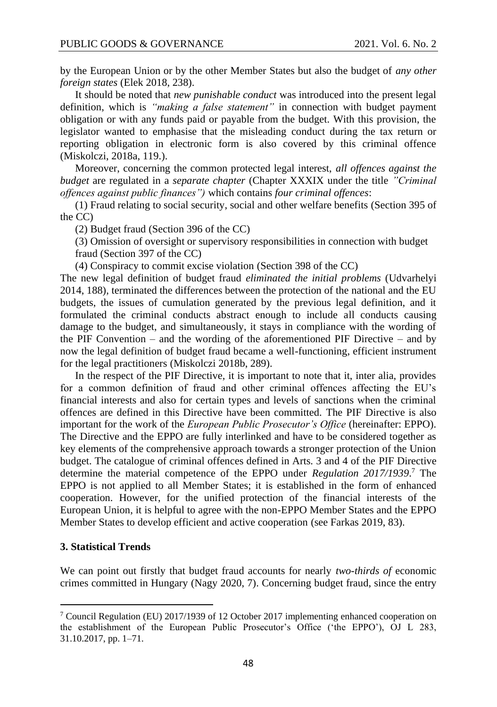by the European Union or by the other Member States but also the budget of *any other foreign states* (Elek 2018, 238).

It should be noted that *new punishable conduct* was introduced into the present legal definition, which is *"making a false statement"* in connection with budget payment obligation or with any funds paid or payable from the budget. With this provision, the legislator wanted to emphasise that the misleading conduct during the tax return or reporting obligation in electronic form is also covered by this criminal offence (Miskolczi, 2018a, 119.).

Moreover, concerning the common protected legal interest, *all offences against the budget* are regulated in a *separate chapter* (Chapter XXXIX under the title *"Criminal offences against public finances")* which contains *four criminal offences*:

(1) Fraud relating to social security, social and other welfare benefits (Section 395 of the CC)

(2) Budget fraud (Section 396 of the CC)

(3) Omission of oversight or supervisory responsibilities in connection with budget fraud (Section 397 of the CC)

(4) Conspiracy to commit excise violation (Section 398 of the CC)

The new legal definition of budget fraud *eliminated the initial problems* (Udvarhelyi 2014, 188), terminated the differences between the protection of the national and the EU budgets, the issues of cumulation generated by the previous legal definition, and it formulated the criminal conducts abstract enough to include all conducts causing damage to the budget, and simultaneously, it stays in compliance with the wording of the PIF Convention – and the wording of the aforementioned PIF Directive – and by now the legal definition of budget fraud became a well-functioning, efficient instrument for the legal practitioners (Miskolczi 2018b, 289).

In the respect of the PIF Directive, it is important to note that it, inter alia, provides for a common definition of fraud and other criminal offences affecting the EU's financial interests and also for certain types and levels of sanctions when the criminal offences are defined in this Directive have been committed. The PIF Directive is also important for the work of the *European Public Prosecutor's Office* (hereinafter: EPPO). The Directive and the EPPO are fully interlinked and have to be considered together as key elements of the comprehensive approach towards a stronger protection of the Union budget. The catalogue of criminal offences defined in Arts. 3 and 4 of the PIF Directive determine the material competence of the EPPO under *Regulation 2017/1939*. <sup>7</sup> The EPPO is not applied to all Member States; it is established in the form of enhanced cooperation. However, for the unified protection of the financial interests of the European Union, it is helpful to agree with the non-EPPO Member States and the EPPO Member States to develop efficient and active cooperation (see Farkas 2019, 83).

#### **3. Statistical Trends**

We can point out firstly that budget fraud accounts for nearly *two-thirds of* economic crimes committed in Hungary (Nagy 2020, 7). Concerning budget fraud, since the entry

<sup>7</sup> Council Regulation (EU) 2017/1939 of 12 October 2017 implementing enhanced cooperation on the establishment of the European Public Prosecutor's Office ('the EPPO'), OJ L 283, 31.10.2017, pp. 1–71.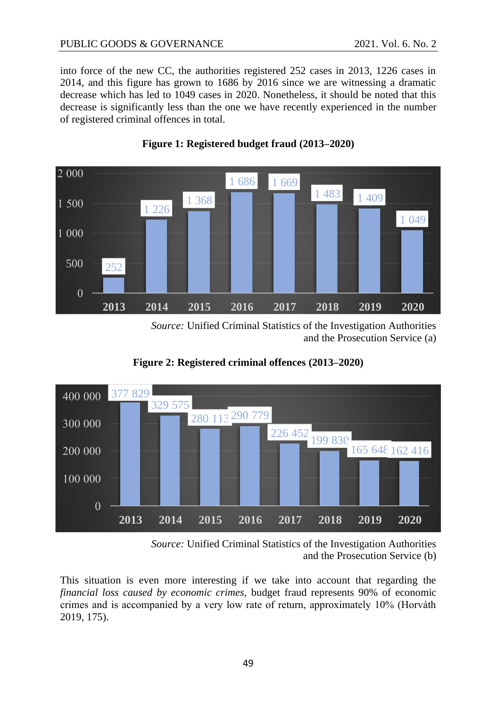into force of the new CC, the authorities registered 252 cases in 2013, 1226 cases in 2014, and this figure has grown to 1686 by 2016 since we are witnessing a dramatic decrease which has led to 1049 cases in 2020. Nonetheless, it should be noted that this decrease is significantly less than the one we have recently experienced in the number of registered criminal offences in total.



# **Figure 1: Registered budget fraud (2013–2020)**

*Source:* Unified Criminal Statistics of the Investigation Authorities and the Prosecution Service (a)



**Figure 2: Registered criminal offences (2013–2020)**

*Source:* Unified Criminal Statistics of the Investigation Authorities and the Prosecution Service (b)

This situation is even more interesting if we take into account that regarding the *financial loss caused by economic crimes,* budget fraud represents 90% of economic crimes and is accompanied by a very low rate of return, approximately 10% (Horváth 2019, 175).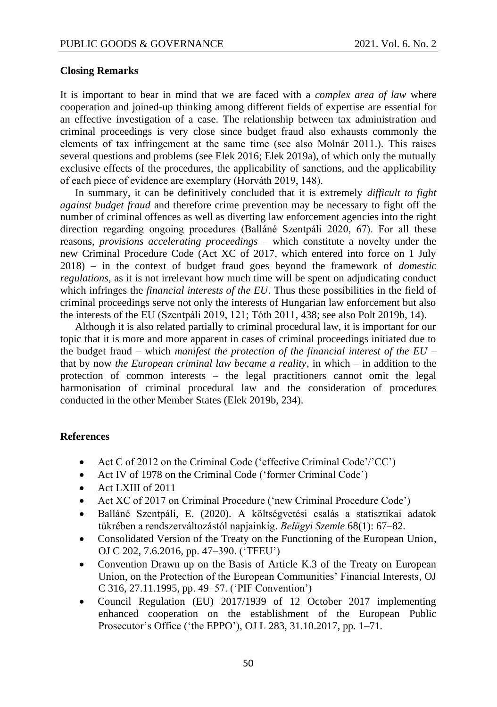### **Closing Remarks**

It is important to bear in mind that we are faced with a *complex area of law* where cooperation and joined-up thinking among different fields of expertise are essential for an effective investigation of a case. The relationship between tax administration and criminal proceedings is very close since budget fraud also exhausts commonly the elements of tax infringement at the same time (see also Molnár 2011.). This raises several questions and problems (see Elek 2016; Elek 2019a), of which only the mutually exclusive effects of the procedures, the applicability of sanctions, and the applicability of each piece of evidence are exemplary (Horváth 2019, 148).

In summary, it can be definitively concluded that it is extremely *difficult to fight against budget fraud* and therefore crime prevention may be necessary to fight off the number of criminal offences as well as diverting law enforcement agencies into the right direction regarding ongoing procedures (Balláné Szentpáli 2020, 67). For all these reasons, *provisions accelerating proceedings* – which constitute a novelty under the new Criminal Procedure Code (Act XC of 2017, which entered into force on 1 July 2018) – in the context of budget fraud goes beyond the framework of *domestic regulations*, as it is not irrelevant how much time will be spent on adjudicating conduct which infringes the *financial interests of the EU*. Thus these possibilities in the field of criminal proceedings serve not only the interests of Hungarian law enforcement but also the interests of the EU (Szentpáli 2019, 121; Tóth 2011, 438; see also Polt 2019b, 14).

Although it is also related partially to criminal procedural law, it is important for our topic that it is more and more apparent in cases of criminal proceedings initiated due to the budget fraud – which *manifest the protection of the financial interest of the EU* – that by now *the European criminal law became a reality*, in which – in addition to the protection of common interests – the legal practitioners cannot omit the legal harmonisation of criminal procedural law and the consideration of procedures conducted in the other Member States (Elek 2019b, 234).

### **References**

- Act C of 2012 on the Criminal Code ('effective Criminal Code'/'CC')
- Act IV of 1978 on the Criminal Code ('former Criminal Code')
- Act LXIII of 2011
- Act XC of 2017 on Criminal Procedure ('new Criminal Procedure Code')
- Balláné Szentpáli, E. (2020). A költségvetési csalás a statisztikai adatok tükrében a rendszerváltozástól napjainkig. *Belügyi Szemle* 68(1): 67–82.
- Consolidated Version of the Treaty on the Functioning of the European Union*,* OJ C 202, 7.6.2016, pp. 47–390. ('TFEU')
- Convention Drawn up on the Basis of Article K.3 of the Treaty on European Union, on the Protection of the European Communities' Financial Interests*,* OJ C 316, 27.11.1995, pp. 49–57. ('PIF Convention')
- Council Regulation (EU) 2017/1939 of 12 October 2017 implementing enhanced cooperation on the establishment of the European Public Prosecutor's Office ('the EPPO'), OJ L 283, 31.10.2017, pp. 1–71*.*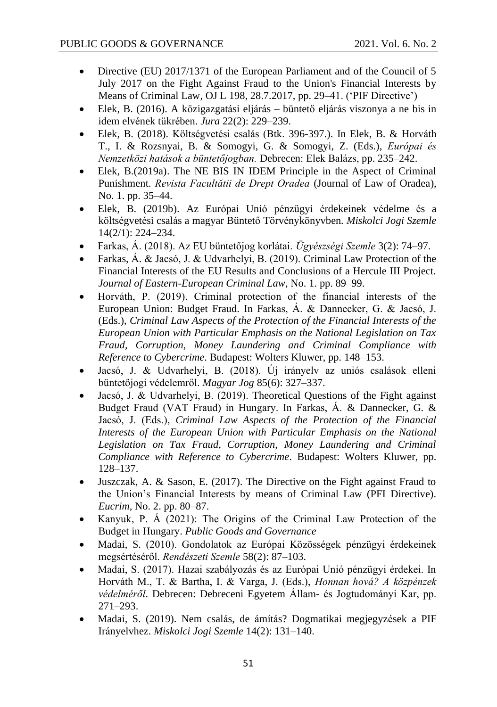- Directive (EU) 2017/1371 of the European Parliament and of the Council of 5 July 2017 on the Fight Against Fraud to the Union's Financial Interests by Means of Criminal Law*,* OJ L 198, 28.7.2017, pp. 29–41. ('PIF Directive')
- Elek, B. (2016). A közigazgatási eljárás büntető eljárás viszonya a ne bis in idem elvének tükrében. *Jura* 22(2): 229–239.
- Elek, B. (2018). Költségvetési csalás (Btk. 396-397.). In Elek, B. & Horváth T., I. & Rozsnyai, B. & Somogyi, G. & Somogyi, Z. (Eds.), *Európai és Nemzetközi hatások a büntetőjogban.* Debrecen: Elek Balázs, pp. 235–242.
- Elek, B.(2019a). The NE BIS IN IDEM Principle in the Aspect of Criminal Punishment. *Revista Facultătii de Drept Oradea* (Journal of Law of Oradea), No. 1. pp. 35–44.
- Elek, B. (2019b). Az Európai Unió pénzügyi érdekeinek védelme és a költségvetési csalás a magyar Büntető Törvénykönyvben*. Miskolci Jogi Szemle*  14(2/1): 224–234.
- Farkas, Á. (2018). Az EU büntetőjog korlátai. *Ügyészségi Szemle* 3(2): 74–97.
- Farkas, Á. & Jacsó, J. & Udvarhelyi, B. (2019). Criminal Law Protection of the Financial Interests of the EU Results and Conclusions of a Hercule III Project. *Journal of Eastern-European Criminal Law*, No. 1. pp. 89–99.
- Horváth, P. (2019). Criminal protection of the financial interests of the European Union: Budget Fraud. In Farkas, Á. & Dannecker, G. & Jacsó, J. (Eds.), *Criminal Law Aspects of the Protection of the Financial Interests of the European Union with Particular Emphasis on the National Legislation on Tax Fraud, Corruption, Money Laundering and Criminal Compliance with Reference to Cybercrime*. Budapest: Wolters Kluwer, pp. 148–153.
- Jacsó, J. & Udvarhelyi, B. (2018). Új irányelv az uniós csalások elleni büntetőjogi védelemről. *Magyar Jog* 85(6): 327–337.
- Jacsó, J. & Udvarhelyi, B. (2019). Theoretical Questions of the Fight against Budget Fraud (VAT Fraud) in Hungary. In Farkas, Á. & Dannecker, G. & Jacsó, J. (Eds.), *Criminal Law Aspects of the Protection of the Financial Interests of the European Union with Particular Emphasis on the National Legislation on Tax Fraud, Corruption, Money Laundering and Criminal Compliance with Reference to Cybercrime*. Budapest: Wolters Kluwer, pp. 128–137.
- Juszczak, A. & Sason, E. (2017). The Directive on the Fight against Fraud to the Union's Financial Interests by means of Criminal Law (PFI Directive). *Eucrim,* No. 2. pp. 80–87.
- Kanyuk, P. Á (2021): The Origins of the Criminal Law Protection of the Budget in Hungary. *Public Goods and Governance*
- Madai, S. (2010). Gondolatok az Európai Közösségek pénzügyi érdekeinek megsértéséről. *Rendészeti Szemle* 58(2): 87–103.
- Madai, S. (2017). Hazai szabályozás és az Európai Unió pénzügyi érdekei. In Horváth M., T. & Bartha, I. & Varga, J. (Eds.), *Honnan hová? A közpénzek védelméről*. Debrecen: Debreceni Egyetem Állam- és Jogtudományi Kar, pp. 271–293.
- Madai, S. (2019). Nem csalás, de ámítás? Dogmatikai megjegyzések a PIF Irányelvhez. *Miskolci Jogi Szemle* 14(2): 131–140.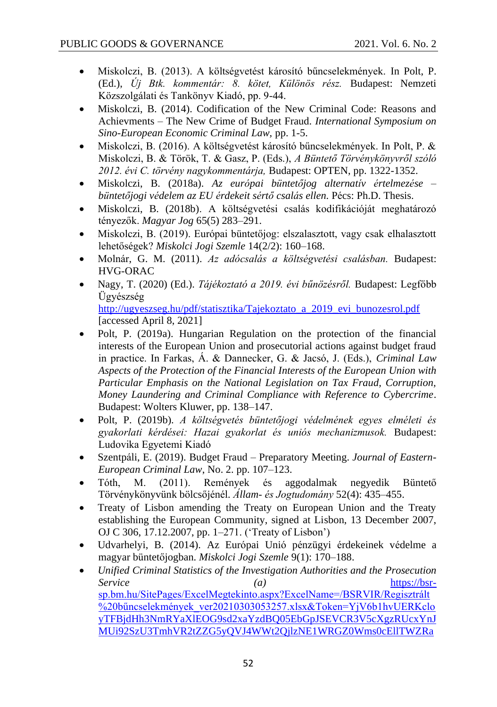- Miskolczi, B. (2013). A költségvetést károsító bűncselekmények. In Polt, P. (Ed.), *Új Btk. kommentár: 8. kötet, Különös rész.* Budapest: Nemzeti Közszolgálati és Tankönyv Kiadó, pp. 9-44.
- Miskolczi, B. (2014). Codification of the New Criminal Code: Reasons and Achievments – The New Crime of Budget Fraud. *International Symposium on Sino-European Economic Criminal Law,* pp. 1-5.
- Miskolczi, B. (2016). A költségvetést károsító bűncselekmények. In Polt, P. & Miskolczi, B. & Török, T. & Gasz, P. (Eds.), *A Büntető Törvénykönyvről szóló 2012. évi C. törvény nagykommentárja,* Budapest: OPTEN, pp. 1322-1352.
- Miskolczi, B. (2018a). *Az európai büntetőjog alternatív értelmezése – büntetőjogi védelem az EU érdekeit sértő csalás ellen.* Pécs: Ph.D. Thesis.
- Miskolczi, B. (2018b). A költségvetési csalás kodifikációját meghatározó tényezők. *Magyar Jog* 65(5) 283–291.
- Miskolczi, B. (2019). Európai büntetőjog: elszalasztott, vagy csak elhalasztott lehetőségek? *Miskolci Jogi Szemle* 14(2/2): 160–168.
- Molnár, G. M. (2011). *Az adócsalás a költségvetési csalásban.* Budapest: HVG-ORAC
- Nagy, T. (2020) (Ed.). *Tájékoztató a 2019. évi bűnözésről.* Budapest: Legfőbb Ügyészség [http://ugyeszseg.hu/pdf/statisztika/Tajekoztato\\_a\\_2019\\_evi\\_bunozesrol.pdf](http://ugyeszseg.hu/pdf/statisztika/Tajekoztato_a_2019_evi_bunozesrol.pdf) [accessed April 8, 2021]
- Polt, P. (2019a). Hungarian Regulation on the protection of the financial interests of the European Union and prosecutorial actions against budget fraud in practice. In Farkas, Á. & Dannecker, G. & Jacsó, J. (Eds.), *Criminal Law Aspects of the Protection of the Financial Interests of the European Union with Particular Emphasis on the National Legislation on Tax Fraud, Corruption, Money Laundering and Criminal Compliance with Reference to Cybercrime*. Budapest: Wolters Kluwer, pp. 138–147.
- Polt, P. (2019b). *A költségvetés büntetőjogi védelmének egyes elméleti és gyakorlati kérdései: Hazai gyakorlat és uniós mechanizmusok.* Budapest: Ludovika Egyetemi Kiadó
- Szentpáli, E. (2019). Budget Fraud Preparatory Meeting. *Journal of Eastern-European Criminal Law*, No. 2. pp. 107–123.
- Tóth, M. (2011). Remények és aggodalmak negyedik Büntető Törvénykönyvünk bölcsőjénél. *Állam- és Jogtudomány* 52(4): 435–455.
- Treaty of Lisbon amending the Treaty on European Union and the Treaty establishing the European Community, signed at Lisbon, 13 December 2007, OJ C 306, 17.12.2007, pp. 1–271. ('Treaty of Lisbon')
- Udvarhelyi, B. (2014). Az Európai Unió pénzügyi érdekeinek védelme a magyar büntetőjogban. *Miskolci Jogi Szemle* 9(1): 170–188.
- *Unified Criminal Statistics of the Investigation Authorities and the Prosecution Service (a)* [https://bsr](https://bsr-sp.bm.hu/SitePages/ExcelMegtekinto.aspx?ExcelName=/BSRVIR/Regisztrált%20bűncselekmények_ver20210303053257.xlsx&Token=YjV6b1hvUERKcloyTFBjdHh3NmRYaXlEOG9sd2xaYzdBQ05EbGpJSEVCR3V5cXgzRUcxYnJMUi92SzU3TmhVR2tZZG5yQVJ4WWt2QjlzNE1WRGZ0Wms0cEllTWZRaUxUVEUzazZpT0VIZXIwd1VVUk1Qd0FjREtaRmtVN1F2OVA=)[sp.bm.hu/SitePages/ExcelMegtekinto.aspx?ExcelName=/BSRVIR/Regisztrált](https://bsr-sp.bm.hu/SitePages/ExcelMegtekinto.aspx?ExcelName=/BSRVIR/Regisztrált%20bűncselekmények_ver20210303053257.xlsx&Token=YjV6b1hvUERKcloyTFBjdHh3NmRYaXlEOG9sd2xaYzdBQ05EbGpJSEVCR3V5cXgzRUcxYnJMUi92SzU3TmhVR2tZZG5yQVJ4WWt2QjlzNE1WRGZ0Wms0cEllTWZRaUxUVEUzazZpT0VIZXIwd1VVUk1Qd0FjREtaRmtVN1F2OVA=) %20bűncselekmények ver20210303053257.xlsx&Token=YjV6b1hvUERKclo [yTFBjdHh3NmRYaXlEOG9sd2xaYzdBQ05EbGpJSEVCR3V5cXgzRUcxYnJ](https://bsr-sp.bm.hu/SitePages/ExcelMegtekinto.aspx?ExcelName=/BSRVIR/Regisztrált%20bűncselekmények_ver20210303053257.xlsx&Token=YjV6b1hvUERKcloyTFBjdHh3NmRYaXlEOG9sd2xaYzdBQ05EbGpJSEVCR3V5cXgzRUcxYnJMUi92SzU3TmhVR2tZZG5yQVJ4WWt2QjlzNE1WRGZ0Wms0cEllTWZRaUxUVEUzazZpT0VIZXIwd1VVUk1Qd0FjREtaRmtVN1F2OVA=) [MUi92SzU3TmhVR2tZZG5yQVJ4WWt2QjlzNE1WRGZ0Wms0cEllTWZRa](https://bsr-sp.bm.hu/SitePages/ExcelMegtekinto.aspx?ExcelName=/BSRVIR/Regisztrált%20bűncselekmények_ver20210303053257.xlsx&Token=YjV6b1hvUERKcloyTFBjdHh3NmRYaXlEOG9sd2xaYzdBQ05EbGpJSEVCR3V5cXgzRUcxYnJMUi92SzU3TmhVR2tZZG5yQVJ4WWt2QjlzNE1WRGZ0Wms0cEllTWZRaUxUVEUzazZpT0VIZXIwd1VVUk1Qd0FjREtaRmtVN1F2OVA=)